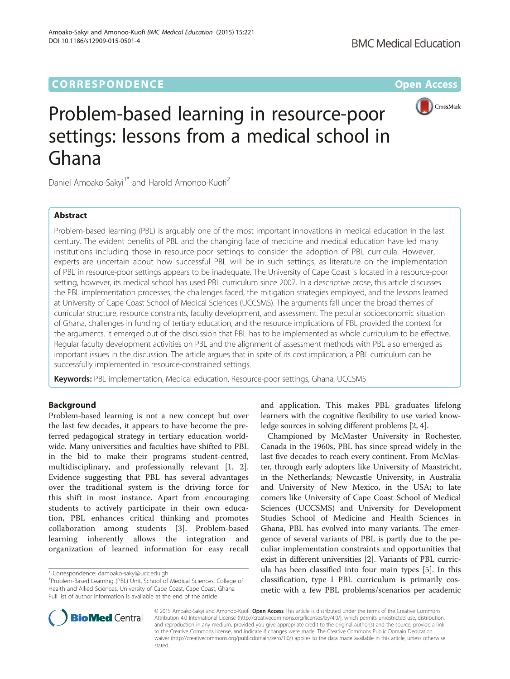# **CORRESPONDENCE CORRESPONDENCE** *CORRESPONDENCE*



# Problem-based learning in resource-poor settings: lessons from a medical school in Ghana

Daniel Amoako-Sakyi<sup>1\*</sup> and Harold Amonoo-Kuofi<sup>2</sup>

# Abstract

Problem-based learning (PBL) is arguably one of the most important innovations in medical education in the last century. The evident benefits of PBL and the changing face of medicine and medical education have led many institutions including those in resource-poor settings to consider the adoption of PBL curricula. However, experts are uncertain about how successful PBL will be in such settings, as literature on the implementation of PBL in resource-poor settings appears to be inadequate. The University of Cape Coast is located in a resource-poor setting, however, its medical school has used PBL curriculum since 2007. In a descriptive prose, this article discusses the PBL implementation processes, the challenges faced, the mitigation strategies employed, and the lessons learned at University of Cape Coast School of Medical Sciences (UCCSMS). The arguments fall under the broad themes of curricular structure, resource constraints, faculty development, and assessment. The peculiar socioeconomic situation of Ghana, challenges in funding of tertiary education, and the resource implications of PBL provided the context for the arguments. It emerged out of the discussion that PBL has to be implemented as whole curriculum to be effective. Regular faculty development activities on PBL and the alignment of assessment methods with PBL also emerged as important issues in the discussion. The article argues that in spite of its cost implication, a PBL curriculum can be successfully implemented in resource-constrained settings.

Keywords: PBL implementation, Medical education, Resource-poor settings, Ghana, UCCSMS

## Background

Problem-based learning is not a new concept but over the last few decades, it appears to have become the preferred pedagogical strategy in tertiary education worldwide. Many universities and faculties have shifted to PBL in the bid to make their programs student-centred, multidisciplinary, and professionally relevant [[1, 2](#page-6-0)]. Evidence suggesting that PBL has several advantages over the traditional system is the driving force for this shift in most instance. Apart from encouraging students to actively participate in their own education, PBL enhances critical thinking and promotes collaboration among students [[3\]](#page-6-0). Problem-based learning inherently allows the integration and organization of learned information for easy recall

and application. This makes PBL graduates lifelong learners with the cognitive flexibility to use varied knowledge sources in solving different problems [\[2](#page-6-0), [4\]](#page-6-0).

Championed by McMaster University in Rochester, Canada in the 1960s, PBL has since spread widely in the last five decades to reach every continent. From McMaster, through early adopters like University of Maastricht, in the Netherlands; Newcastle University, in Australia and University of New Mexico, in the USA; to late comers like University of Cape Coast School of Medical Sciences (UCCSMS) and University for Development Studies School of Medicine and Health Sciences in Ghana, PBL has evolved into many variants. The emergence of several variants of PBL is partly due to the peculiar implementation constraints and opportunities that exist in different universities [[2\]](#page-6-0). Variants of PBL curricula has been classified into four main types [[5\]](#page-6-0). In this classification, type I PBL curriculum is primarily cosmetic with a few PBL problems/scenarios per academic



© 2015 Amoako-Sakyi and Amonoo-Kuofi. Open Access This article is distributed under the terms of the Creative Commons Attribution 4.0 International License [\(http://creativecommons.org/licenses/by/4.0/](http://creativecommons.org/licenses/by/4.0/)), which permits unrestricted use, distribution, and reproduction in any medium, provided you give appropriate credit to the original author(s) and the source, provide a link to the Creative Commons license, and indicate if changes were made. The Creative Commons Public Domain Dedication waiver [\(http://creativecommons.org/publicdomain/zero/1.0/\)](http://creativecommons.org/publicdomain/zero/1.0/) applies to the data made available in this article, unless otherwise stated

<sup>\*</sup> Correspondence: [damoako-sakyi@ucc.edu.gh](mailto:damoako-sakyi@ucc.edu.gh) <sup>1</sup>

<sup>&</sup>lt;sup>1</sup>Problem-Based Learning (PBL) Unit, School of Medical Sciences, College of Health and Allied Sciences, University of Cape Coast, Cape Coast, Ghana Full list of author information is available at the end of the article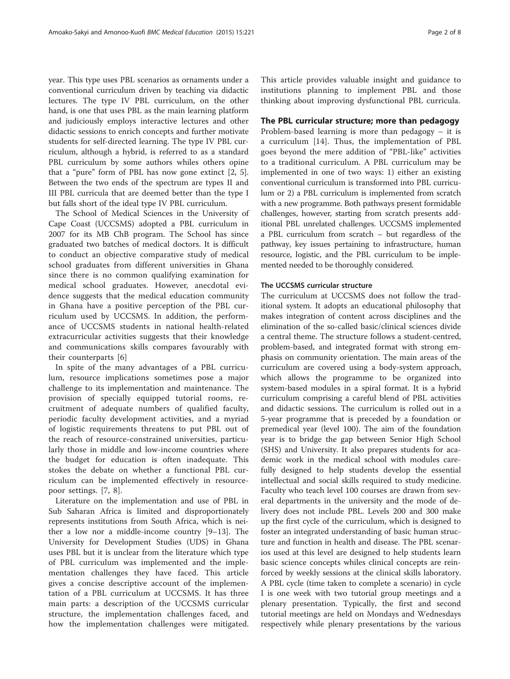year. This type uses PBL scenarios as ornaments under a conventional curriculum driven by teaching via didactic lectures. The type IV PBL curriculum, on the other hand, is one that uses PBL as the main learning platform and judiciously employs interactive lectures and other didactic sessions to enrich concepts and further motivate students for self-directed learning. The type IV PBL curriculum, although a hybrid, is referred to as a standard PBL curriculum by some authors whiles others opine that a "pure" form of PBL has now gone extinct [\[2](#page-6-0), [5](#page-6-0)]. Between the two ends of the spectrum are types II and III PBL curricula that are deemed better than the type I but falls short of the ideal type IV PBL curriculum.

The School of Medical Sciences in the University of Cape Coast (UCCSMS) adopted a PBL curriculum in 2007 for its MB ChB program. The School has since graduated two batches of medical doctors. It is difficult to conduct an objective comparative study of medical school graduates from different universities in Ghana since there is no common qualifying examination for medical school graduates. However, anecdotal evidence suggests that the medical education community in Ghana have a positive perception of the PBL curriculum used by UCCSMS. In addition, the performance of UCCSMS students in national health-related extracurricular activities suggests that their knowledge and communications skills compares favourably with their counterparts [\[6](#page-6-0)]

In spite of the many advantages of a PBL curriculum, resource implications sometimes pose a major challenge to its implementation and maintenance. The provision of specially equipped tutorial rooms, recruitment of adequate numbers of qualified faculty, periodic faculty development activities, and a myriad of logistic requirements threatens to put PBL out of the reach of resource-constrained universities, particularly those in middle and low-income countries where the budget for education is often inadequate. This stokes the debate on whether a functional PBL curriculum can be implemented effectively in resourcepoor settings. [\[7](#page-6-0), [8](#page-6-0)].

Literature on the implementation and use of PBL in Sub Saharan Africa is limited and disproportionately represents institutions from South Africa, which is neither a low nor a middle-income country [\[9](#page-6-0)–[13\]](#page-6-0). The University for Development Studies (UDS) in Ghana uses PBL but it is unclear from the literature which type of PBL curriculum was implemented and the implementation challenges they have faced. This article gives a concise descriptive account of the implementation of a PBL curriculum at UCCSMS. It has three main parts: a description of the UCCSMS curricular structure, the implementation challenges faced, and how the implementation challenges were mitigated. This article provides valuable insight and guidance to institutions planning to implement PBL and those thinking about improving dysfunctional PBL curricula.

## The PBL curricular structure; more than pedagogy

Problem-based learning is more than pedagogy – it is a curriculum [\[14](#page-6-0)]. Thus, the implementation of PBL goes beyond the mere addition of "PBL-like" activities to a traditional curriculum. A PBL curriculum may be implemented in one of two ways: 1) either an existing conventional curriculum is transformed into PBL curriculum or 2) a PBL curriculum is implemented from scratch with a new programme. Both pathways present formidable challenges, however, starting from scratch presents additional PBL unrelated challenges. UCCSMS implemented a PBL curriculum from scratch – but regardless of the pathway, key issues pertaining to infrastructure, human resource, logistic, and the PBL curriculum to be implemented needed to be thoroughly considered.

## The UCCSMS curricular structure

The curriculum at UCCSMS does not follow the traditional system. It adopts an educational philosophy that makes integration of content across disciplines and the elimination of the so-called basic/clinical sciences divide a central theme. The structure follows a student-centred, problem-based, and integrated format with strong emphasis on community orientation. The main areas of the curriculum are covered using a body-system approach, which allows the programme to be organized into system-based modules in a spiral format. It is a hybrid curriculum comprising a careful blend of PBL activities and didactic sessions. The curriculum is rolled out in a 5-year programme that is preceded by a foundation or premedical year (level 100). The aim of the foundation year is to bridge the gap between Senior High School (SHS) and University. It also prepares students for academic work in the medical school with modules carefully designed to help students develop the essential intellectual and social skills required to study medicine. Faculty who teach level 100 courses are drawn from several departments in the university and the mode of delivery does not include PBL. Levels 200 and 300 make up the first cycle of the curriculum, which is designed to foster an integrated understanding of basic human structure and function in health and disease. The PBL scenarios used at this level are designed to help students learn basic science concepts whiles clinical concepts are reinforced by weekly sessions at the clinical skills laboratory. A PBL cycle (time taken to complete a scenario) in cycle I is one week with two tutorial group meetings and a plenary presentation. Typically, the first and second tutorial meetings are held on Mondays and Wednesdays respectively while plenary presentations by the various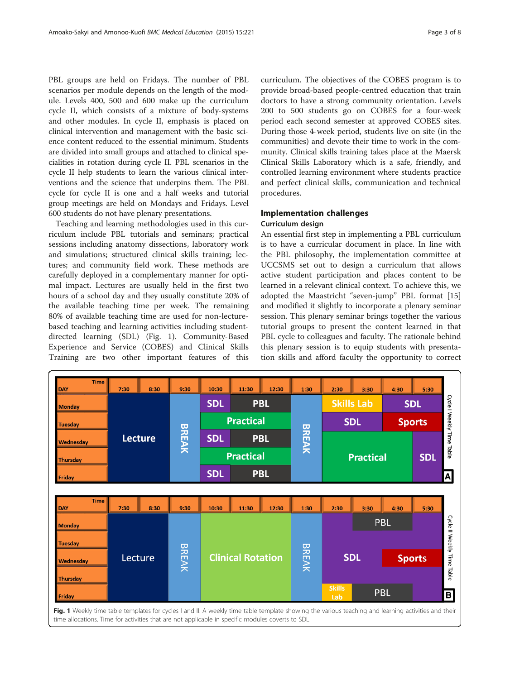PBL groups are held on Fridays. The number of PBL scenarios per module depends on the length of the module. Levels 400, 500 and 600 make up the curriculum cycle II, which consists of a mixture of body-systems and other modules. In cycle II, emphasis is placed on clinical intervention and management with the basic science content reduced to the essential minimum. Students are divided into small groups and attached to clinical specialities in rotation during cycle II. PBL scenarios in the cycle II help students to learn the various clinical interventions and the science that underpins them. The PBL cycle for cycle II is one and a half weeks and tutorial group meetings are held on Mondays and Fridays. Level 600 students do not have plenary presentations.

Teaching and learning methodologies used in this curriculum include PBL tutorials and seminars; practical sessions including anatomy dissections, laboratory work and simulations; structured clinical skills training; lectures; and community field work. These methods are carefully deployed in a complementary manner for optimal impact. Lectures are usually held in the first two hours of a school day and they usually constitute 20% of the available teaching time per week. The remaining 80% of available teaching time are used for non-lecturebased teaching and learning activities including studentdirected learning (SDL) (Fig. 1). Community-Based Experience and Service (COBES) and Clinical Skills Training are two other important features of this curriculum. The objectives of the COBES program is to provide broad-based people-centred education that train doctors to have a strong community orientation. Levels 200 to 500 students go on COBES for a four-week period each second semester at approved COBES sites. During those 4-week period, students live on site (in the communities) and devote their time to work in the community. Clinical skills training takes place at the Maersk Clinical Skills Laboratory which is a safe, friendly, and controlled learning environment where students practice and perfect clinical skills, communication and technical procedures.

# Implementation challenges

## Curriculum design

An essential first step in implementing a PBL curriculum is to have a curricular document in place. In line with the PBL philosophy, the implementation committee at UCCSMS set out to design a curriculum that allows active student participation and places content to be learned in a relevant clinical context. To achieve this, we adopted the Maastricht "seven-jump" PBL format [[15](#page-6-0)] and modified it slightly to incorporate a plenary seminar session. This plenary seminar brings together the various tutorial groups to present the content learned in that PBL cycle to colleagues and faculty. The rationale behind this plenary session is to equip students with presentation skills and afford faculty the opportunity to correct



Fig. 1 Weekly time table templates for cycles I and II. A weekly time table template showing the various teaching and learning activities and their time allocations. Time for activities that are not applicable in specific modules coverts to SDL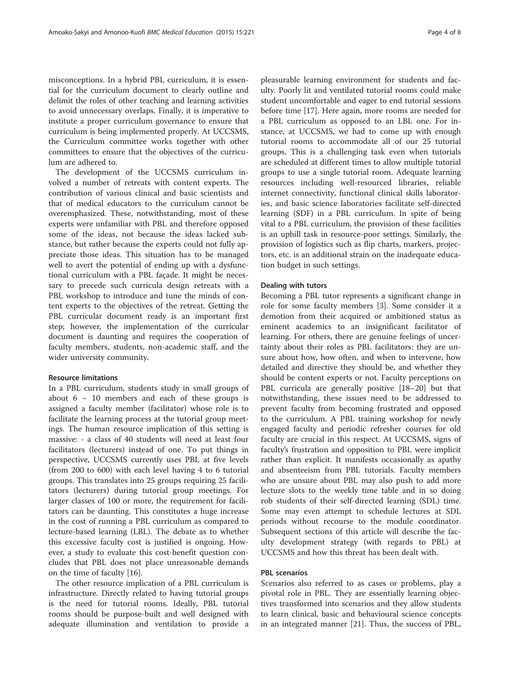misconceptions. In a hybrid PBL curriculum, it is essential for the curriculum document to clearly outline and delimit the roles of other teaching and learning activities to avoid unnecessary overlaps. Finally, it is imperative to institute a proper curriculum governance to ensure that curriculum is being implemented properly. At UCCSMS, the Curriculum committee works together with other committees to ensure that the objectives of the curriculum are adhered to.

The development of the UCCSMS curriculum involved a number of retreats with content experts. The contribution of various clinical and basic scientists and that of medical educators to the curriculum cannot be overemphasized. These, notwithstanding, most of these experts were unfamiliar with PBL and therefore opposed some of the ideas, not because the ideas lacked substance, but rather because the experts could not fully appreciate those ideas. This situation has to be managed well to avert the potential of ending up with a dysfunctional curriculum with a PBL façade. It might be necessary to precede such curricula design retreats with a PBL workshop to introduce and tune the minds of content experts to the objectives of the retreat. Getting the PBL curricular document ready is an important first step; however, the implementation of the curricular document is daunting and requires the cooperation of faculty members, students, non-academic staff, and the wider university community.

#### Resource limitations

In a PBL curriculum, students study in small groups of about 6 – 10 members and each of these groups is assigned a faculty member (facilitator) whose role is to facilitate the learning process at the tutorial group meetings. The human resource implication of this setting is massive: - a class of 40 students will need at least four facilitators (lecturers) instead of one. To put things in perspective, UCCSMS currently uses PBL at five levels (from 200 to 600) with each level having 4 to 6 tutorial groups. This translates into 25 groups requiring 25 facilitators (lecturers) during tutorial group meetings. For larger classes of 100 or more, the requirement for facilitators can be daunting. This constitutes a huge increase in the cost of running a PBL curriculum as compared to lecture-based learning (LBL). The debate as to whether this excessive faculty cost is justified is ongoing. However, a study to evaluate this cost-benefit question concludes that PBL does not place unreasonable demands on the time of faculty [\[16](#page-6-0)].

The other resource implication of a PBL curriculum is infrastructure. Directly related to having tutorial groups is the need for tutorial rooms. Ideally, PBL tutorial rooms should be purpose-built and well designed with adequate illumination and ventilation to provide a

pleasurable learning environment for students and faculty. Poorly lit and ventilated tutorial rooms could make student uncomfortable and eager to end tutorial sessions before time [[17\]](#page-6-0). Here again, more rooms are needed for a PBL curriculum as opposed to an LBL one. For instance, at UCCSMS, we had to come up with enough tutorial rooms to accommodate all of our 25 tutorial groups. This is a challenging task even when tutorials are scheduled at different times to allow multiple tutorial groups to use a single tutorial room. Adequate learning resources including well-resourced libraries, reliable internet connectivity, functional clinical skills laboratories, and basic science laboratories facilitate self-directed learning (SDF) in a PBL curriculum. In spite of being vital to a PBL curriculum, the provision of these facilities is an uphill task in resource-poor settings. Similarly, the provision of logistics such as flip charts, markers, projectors, etc. is an additional strain on the inadequate education budget in such settings.

#### Dealing with tutors

Becoming a PBL tutor represents a significant change in role for some faculty members [\[3](#page-6-0)]. Some consider it a demotion from their acquired or ambitioned status as eminent academics to an insignificant facilitator of learning. For others, there are genuine feelings of uncertainty about their roles as PBL facilitators: they are unsure about how, how often, and when to intervene, how detailed and directive they should be, and whether they should be content experts or not. Faculty perceptions on PBL curricula are generally positive [\[18](#page-6-0)–[20\]](#page-6-0) but that notwithstanding, these issues need to be addressed to prevent faculty from becoming frustrated and opposed to the curriculum. A PBL training workshop for newly engaged faculty and periodic refresher courses for old faculty are crucial in this respect. At UCCSMS, signs of faculty's frustration and opposition to PBL were implicit rather than explicit. It manifests occasionally as apathy and absenteeism from PBL tutorials. Faculty members who are unsure about PBL may also push to add more lecture slots to the weekly time table and in so doing rob students of their self-directed learning (SDL) time. Some may even attempt to schedule lectures at SDL periods without recourse to the module coordinator. Subsequent sections of this article will describe the faculty development strategy (with regards to PBL) at UCCSMS and how this threat has been dealt with.

## PBL scenarios

Scenarios also referred to as cases or problems, play a pivotal role in PBL. They are essentially learning objectives transformed into scenarios and they allow students to learn clinical, basic and behavioural science concepts in an integrated manner [\[21](#page-6-0)]. Thus, the success of PBL,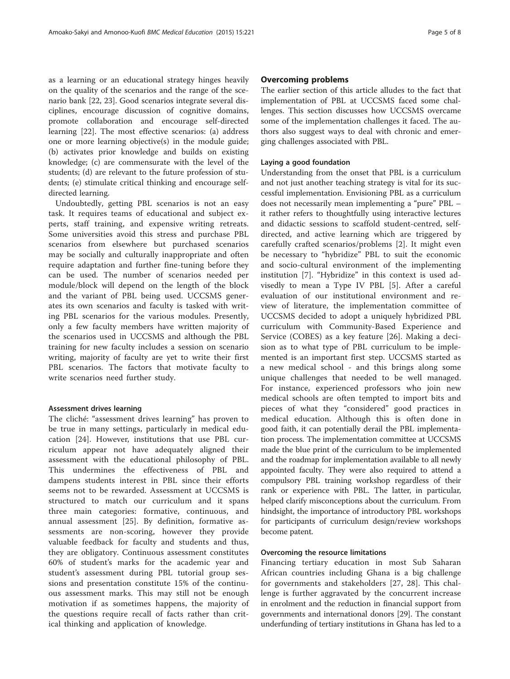as a learning or an educational strategy hinges heavily on the quality of the scenarios and the range of the scenario bank [[22, 23](#page-6-0)]. Good scenarios integrate several disciplines, encourage discussion of cognitive domains, promote collaboration and encourage self-directed learning [\[22](#page-6-0)]. The most effective scenarios: (a) address one or more learning objective(s) in the module guide; (b) activates prior knowledge and builds on existing knowledge; (c) are commensurate with the level of the students; (d) are relevant to the future profession of students; (e) stimulate critical thinking and encourage selfdirected learning.

Undoubtedly, getting PBL scenarios is not an easy task. It requires teams of educational and subject experts, staff training, and expensive writing retreats. Some universities avoid this stress and purchase PBL scenarios from elsewhere but purchased scenarios may be socially and culturally inappropriate and often require adaptation and further fine-tuning before they can be used. The number of scenarios needed per module/block will depend on the length of the block and the variant of PBL being used. UCCSMS generates its own scenarios and faculty is tasked with writing PBL scenarios for the various modules. Presently, only a few faculty members have written majority of the scenarios used in UCCSMS and although the PBL training for new faculty includes a session on scenario writing, majority of faculty are yet to write their first PBL scenarios. The factors that motivate faculty to write scenarios need further study.

#### Assessment drives learning

The cliché: "assessment drives learning" has proven to be true in many settings, particularly in medical education [\[24](#page-6-0)]. However, institutions that use PBL curriculum appear not have adequately aligned their assessment with the educational philosophy of PBL. This undermines the effectiveness of PBL and dampens students interest in PBL since their efforts seems not to be rewarded. Assessment at UCCSMS is structured to match our curriculum and it spans three main categories: formative, continuous, and annual assessment [\[25](#page-6-0)]. By definition, formative assessments are non-scoring, however they provide valuable feedback for faculty and students and thus, they are obligatory. Continuous assessment constitutes 60% of student's marks for the academic year and student's assessment during PBL tutorial group sessions and presentation constitute 15% of the continuous assessment marks. This may still not be enough motivation if as sometimes happens, the majority of the questions require recall of facts rather than critical thinking and application of knowledge.

#### Overcoming problems

The earlier section of this article alludes to the fact that implementation of PBL at UCCSMS faced some challenges. This section discusses how UCCSMS overcame some of the implementation challenges it faced. The authors also suggest ways to deal with chronic and emerging challenges associated with PBL.

#### Laying a good foundation

Understanding from the onset that PBL is a curriculum and not just another teaching strategy is vital for its successful implementation. Envisioning PBL as a curriculum does not necessarily mean implementing a "pure" PBL – it rather refers to thoughtfully using interactive lectures and didactic sessions to scaffold student-centred, selfdirected, and active learning which are triggered by carefully crafted scenarios/problems [\[2](#page-6-0)]. It might even be necessary to "hybridize" PBL to suit the economic and socio-cultural environment of the implementing institution [[7\]](#page-6-0). "Hybridize" in this context is used advisedly to mean a Type IV PBL [[5\]](#page-6-0). After a careful evaluation of our institutional environment and review of literature, the implementation committee of UCCSMS decided to adopt a uniquely hybridized PBL curriculum with Community-Based Experience and Service (COBES) as a key feature [[26\]](#page-6-0). Making a decision as to what type of PBL curriculum to be implemented is an important first step. UCCSMS started as a new medical school - and this brings along some unique challenges that needed to be well managed. For instance, experienced professors who join new medical schools are often tempted to import bits and pieces of what they "considered" good practices in medical education. Although this is often done in good faith, it can potentially derail the PBL implementation process. The implementation committee at UCCSMS made the blue print of the curriculum to be implemented and the roadmap for implementation available to all newly appointed faculty. They were also required to attend a compulsory PBL training workshop regardless of their rank or experience with PBL. The latter, in particular, helped clarify misconceptions about the curriculum. From hindsight, the importance of introductory PBL workshops for participants of curriculum design/review workshops become patent.

# Overcoming the resource limitations

Financing tertiary education in most Sub Saharan African countries including Ghana is a big challenge for governments and stakeholders [[27, 28](#page-6-0)]. This challenge is further aggravated by the concurrent increase in enrolment and the reduction in financial support from governments and international donors [[29](#page-6-0)]. The constant underfunding of tertiary institutions in Ghana has led to a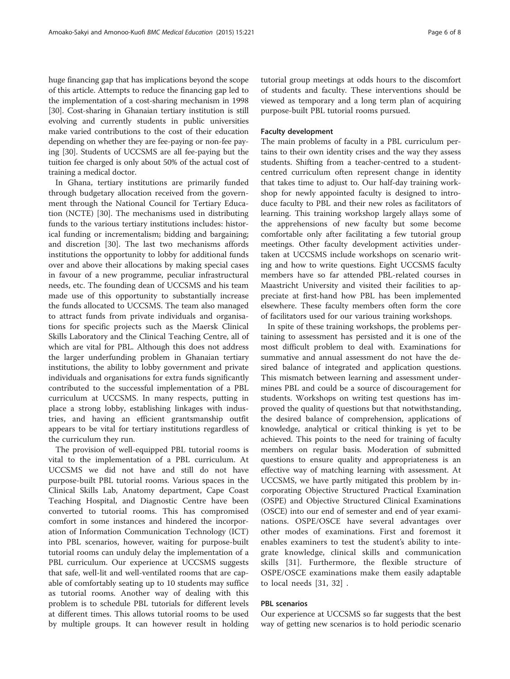huge financing gap that has implications beyond the scope of this article. Attempts to reduce the financing gap led to the implementation of a cost-sharing mechanism in 1998 [[30](#page-7-0)]. Cost-sharing in Ghanaian tertiary institution is still evolving and currently students in public universities make varied contributions to the cost of their education depending on whether they are fee-paying or non-fee paying [[30\]](#page-7-0). Students of UCCSMS are all fee-paying but the tuition fee charged is only about 50% of the actual cost of training a medical doctor.

In Ghana, tertiary institutions are primarily funded through budgetary allocation received from the government through the National Council for Tertiary Education (NCTE) [\[30](#page-7-0)]. The mechanisms used in distributing funds to the various tertiary institutions includes: historical funding or incrementalism; bidding and bargaining; and discretion [[30](#page-7-0)]. The last two mechanisms affords institutions the opportunity to lobby for additional funds over and above their allocations by making special cases in favour of a new programme, peculiar infrastructural needs, etc. The founding dean of UCCSMS and his team made use of this opportunity to substantially increase the funds allocated to UCCSMS. The team also managed to attract funds from private individuals and organisations for specific projects such as the Maersk Clinical Skills Laboratory and the Clinical Teaching Centre, all of which are vital for PBL. Although this does not address the larger underfunding problem in Ghanaian tertiary institutions, the ability to lobby government and private individuals and organisations for extra funds significantly contributed to the successful implementation of a PBL curriculum at UCCSMS. In many respects, putting in place a strong lobby, establishing linkages with industries, and having an efficient grantsmanship outfit appears to be vital for tertiary institutions regardless of the curriculum they run.

The provision of well-equipped PBL tutorial rooms is vital to the implementation of a PBL curriculum. At UCCSMS we did not have and still do not have purpose-built PBL tutorial rooms. Various spaces in the Clinical Skills Lab, Anatomy department, Cape Coast Teaching Hospital, and Diagnostic Centre have been converted to tutorial rooms. This has compromised comfort in some instances and hindered the incorporation of Information Communication Technology (ICT) into PBL scenarios, however, waiting for purpose-built tutorial rooms can unduly delay the implementation of a PBL curriculum. Our experience at UCCSMS suggests that safe, well-lit and well-ventilated rooms that are capable of comfortably seating up to 10 students may suffice as tutorial rooms. Another way of dealing with this problem is to schedule PBL tutorials for different levels at different times. This allows tutorial rooms to be used by multiple groups. It can however result in holding

tutorial group meetings at odds hours to the discomfort of students and faculty. These interventions should be viewed as temporary and a long term plan of acquiring purpose-built PBL tutorial rooms pursued.

#### Faculty development

The main problems of faculty in a PBL curriculum pertains to their own identity crises and the way they assess students. Shifting from a teacher-centred to a studentcentred curriculum often represent change in identity that takes time to adjust to. Our half-day training workshop for newly appointed faculty is designed to introduce faculty to PBL and their new roles as facilitators of learning. This training workshop largely allays some of the apprehensions of new faculty but some become comfortable only after facilitating a few tutorial group meetings. Other faculty development activities undertaken at UCCSMS include workshops on scenario writing and how to write questions. Eight UCCSMS faculty members have so far attended PBL-related courses in Maastricht University and visited their facilities to appreciate at first-hand how PBL has been implemented elsewhere. These faculty members often form the core of facilitators used for our various training workshops.

In spite of these training workshops, the problems pertaining to assessment has persisted and it is one of the most difficult problem to deal with. Examinations for summative and annual assessment do not have the desired balance of integrated and application questions. This mismatch between learning and assessment undermines PBL and could be a source of discouragement for students. Workshops on writing test questions has improved the quality of questions but that notwithstanding, the desired balance of comprehension, applications of knowledge, analytical or critical thinking is yet to be achieved. This points to the need for training of faculty members on regular basis. Moderation of submitted questions to ensure quality and appropriateness is an effective way of matching learning with assessment. At UCCSMS, we have partly mitigated this problem by incorporating Objective Structured Practical Examination (OSPE) and Objective Structured Clinical Examinations (OSCE) into our end of semester and end of year examinations. OSPE/OSCE have several advantages over other modes of examinations. First and foremost it enables examiners to test the student's ability to integrate knowledge, clinical skills and communication skills [[31](#page-7-0)]. Furthermore, the flexible structure of OSPE/OSCE examinations make them easily adaptable to local needs [\[31](#page-7-0), [32](#page-7-0)] .

#### PBL scenarios

Our experience at UCCSMS so far suggests that the best way of getting new scenarios is to hold periodic scenario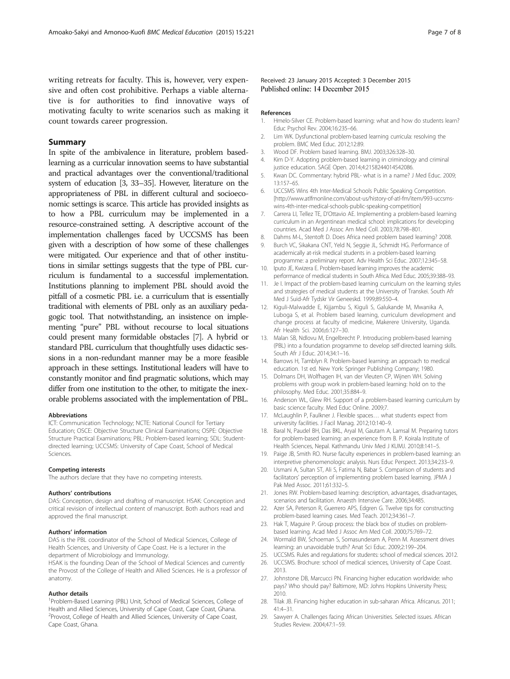<span id="page-6-0"></span>writing retreats for faculty. This is, however, very expensive and often cost prohibitive. Perhaps a viable alternative is for authorities to find innovative ways of motivating faculty to write scenarios such as making it count towards career progression.

#### Summary

In spite of the ambivalence in literature, problem basedlearning as a curricular innovation seems to have substantial and practical advantages over the conventional/traditional system of education [3, [33](#page-7-0)–[35](#page-7-0)]. However, literature on the appropriateness of PBL in different cultural and socioeconomic settings is scarce. This article has provided insights as to how a PBL curriculum may be implemented in a resource-constrained setting. A descriptive account of the implementation challenges faced by UCCSMS has been given with a description of how some of these challenges were mitigated. Our experience and that of other institutions in similar settings suggests that the type of PBL curriculum is fundamental to a successful implementation. Institutions planning to implement PBL should avoid the pitfall of a cosmetic PBL i.e. a curriculum that is essentially traditional with elements of PBL only as an auxiliary pedagogic tool. That notwithstanding, an insistence on implementing "pure" PBL without recourse to local situations could present many formidable obstacles [7]. A hybrid or standard PBL curriculum that thoughtfully uses didactic sessions in a non-redundant manner may be a more feasible approach in these settings. Institutional leaders will have to constantly monitor and find pragmatic solutions, which may differ from one institution to the other, to mitigate the inexorable problems associated with the implementation of PBL.

#### Abbreviations

ICT: Communication Technology; NCTE: National Council for Tertiary Education; OSCE: Objective Structure Clinical Examinations; OSPE: Objective Structure Practical Examinations; PBL: Problem-based learning; SDL: Studentdirected learning; UCCSMS: University of Cape Coast, School of Medical Sciences.

#### Competing interests

The authors declare that they have no competing interests.

#### Authors' contributions

DAS: Conception, design and drafting of manuscript. HSAK: Conception and critical revision of intellectual content of manuscript. Both authors read and approved the final manuscript.

#### Authors' information

DAS is the PBL coordinator of the School of Medical Sciences, College of Health Sciences, and University of Cape Coast. He is a lecturer in the department of Microbiology and Immunology.

HSAK is the founding Dean of the School of Medical Sciences and currently the Provost of the College of Health and Allied Sciences. He is a professor of anatomy.

#### Author details

<sup>1</sup>Problem-Based Learning (PBL) Unit, School of Medical Sciences, College of Health and Allied Sciences, University of Cape Coast, Cape Coast, Ghana. <sup>2</sup> Provost, College of Health and Allied Sciences, University of Cape Coast, Cape Coast, Ghana.

Received: 23 January 2015 Accepted: 3 December 2015 Published online: 14 December 2015

#### References

- 1. Hmelo-Silver CE. Problem-based learning: what and how do students learn? Educ Psychol Rev. 2004;16:235–66.
- 2. Lim WK. Dysfunctional problem-based learning curricula: resolving the problem. BMC Med Educ. 2012;12:89.
- 3. Wood DF. Problem based learning. BMJ. 2003;326:328–30.
- 4. Kim D-Y. Adopting problem-based learning in criminology and criminal justice education. SAGE Open. 2014;4:2158244014542086.
- 5. Kwan DC. Commentary: hybrid PBL- what is in a name? J Med Educ. 2009; 13:157–65.
- 6. UCCSMS Wins 4th Inter-Medical Schools Public Speaking Competition. [[http://www.atlfmonline.com/about-us/history-of-atl-fm/item/993-uccsms](http://www.atlfmonline.com/about-us/history-of-atl-fm/item/993-uccsms-wins-4th-inter-medical-schools-public-speaking-competition)[wins-4th-inter-medical-schools-public-speaking-competition](http://www.atlfmonline.com/about-us/history-of-atl-fm/item/993-uccsms-wins-4th-inter-medical-schools-public-speaking-competition)]
- 7. Carrera LI, Tellez TE, D'Ottavio AE. Implementing a problem-based learning curriculum in an Argentinean medical school: implications for developing countries. Acad Med J Assoc Am Med Coll. 2003;78:798–801.
- 8. Dahms M-L, Stentoft D. Does Africa need problem based learning? 2008.
- 9. Burch VC, Sikakana CNT, Yeld N, Seggie JL, Schmidt HG. Performance of academically at-risk medical students in a problem-based learning programme: a preliminary report. Adv Health Sci Educ. 2007;12:345–58.
- 10. Iputo JE, Kwizera E. Problem-based learning improves the academic performance of medical students in South Africa. Med Educ. 2005;39:388–93.
- 11. Je I. Impact of the problem-based learning curriculum on the learning styles and strategies of medical students at the University of Transkei. South Afr Med J Suid-Afr Tydskr Vir Geneeskd. 1999;89:550–4.
- 12. Kiguli-Malwadde E, Kijjambu S, Kiguli S, Galukande M, Mwanika A, Luboga S, et al. Problem based learning, curriculum development and change process at faculty of medicine, Makerere University, Uganda. Afr Health Sci. 2006;6:127–30.
- 13. Malan SB, Ndlovu M, Engelbrecht P. Introducing problem-based learning (PBL) into a foundation programme to develop self-directed learning skills. South Afr J Educ. 2014;34:1–16.
- 14. Barrows H, Tamblyn R. Problem-based learning: an approach to medical education. 1st ed. New York: Springer Publishing Company; 1980.
- 15. Dolmans DH, Wolfhagen IH, van der Vleuten CP, Wijnen WH. Solving problems with group work in problem-based learning: hold on to the philosophy. Med Educ. 2001;35:884–9.
- 16. Anderson WL, Glew RH. Support of a problem-based learning curriculum by basic science faculty. Med Educ Online. 2009;7.
- 17. McLaughlin P, Faulkner J. Flexible spaces… what students expect from university facilities. J Facil Manag. 2012;10:140–9.
- 18. Baral N, Paudel BH, Das BKL, Aryal M, Gautam A, Lamsal M. Preparing tutors for problem-based learning: an experience from B. P. Koirala Institute of Health Sciences, Nepal. Kathmandu Univ Med J KUMJ. 2010;8:141–5.
- 19. Paige JB, Smith RO. Nurse faculty experiences in problem-based learning: an interpretive phenomenologic analysis. Nurs Educ Perspect. 2013;34:233–9.
- 20. Usmani A, Sultan ST, Ali S, Fatima N, Babar S. Comparison of students and facilitators' perception of implementing problem based learning. JPMA J Pak Med Assoc. 2011;61:332–5.
- 21. Jones RW. Problem-based learning: description, advantages, disadvantages, scenarios and facilitation. Anaesth Intensive Care. 2006;34:485.
- 22. Azer SA, Peterson R, Guerrero APS, Edgren G. Twelve tips for constructing problem-based learning cases. Med Teach. 2012;34:361–7.
- 23. Hak T, Maguire P. Group process: the black box of studies on problembased learning. Acad Med J Assoc Am Med Coll. 2000;75:769–72.
- 24. Wormald BW, Schoeman S, Somasunderam A, Penn M. Assessment drives learning: an unavoidable truth? Anat Sci Educ. 2009;2:199–204.
- 25. UCCSMS. Rules and regulations for students: school of medical sciences. 2012.
- 26. UCCSMS. Brochure: school of medical sciences, University of Cape Coast. 2013.
- 27. Johnstone DB, Marcucci PN. Financing higher education worldwide: who pays? Who should pay? Baltimore, MD: Johns Hopkins University Press; 2010.
- 28. Tilak JB. Financing higher education in sub-saharan Africa. Africanus. 2011; 41:4–31.
- 29. Sawyerr A. Challenges facing African Universities. Selected issues. African Studies Review. 2004;47:1–59.